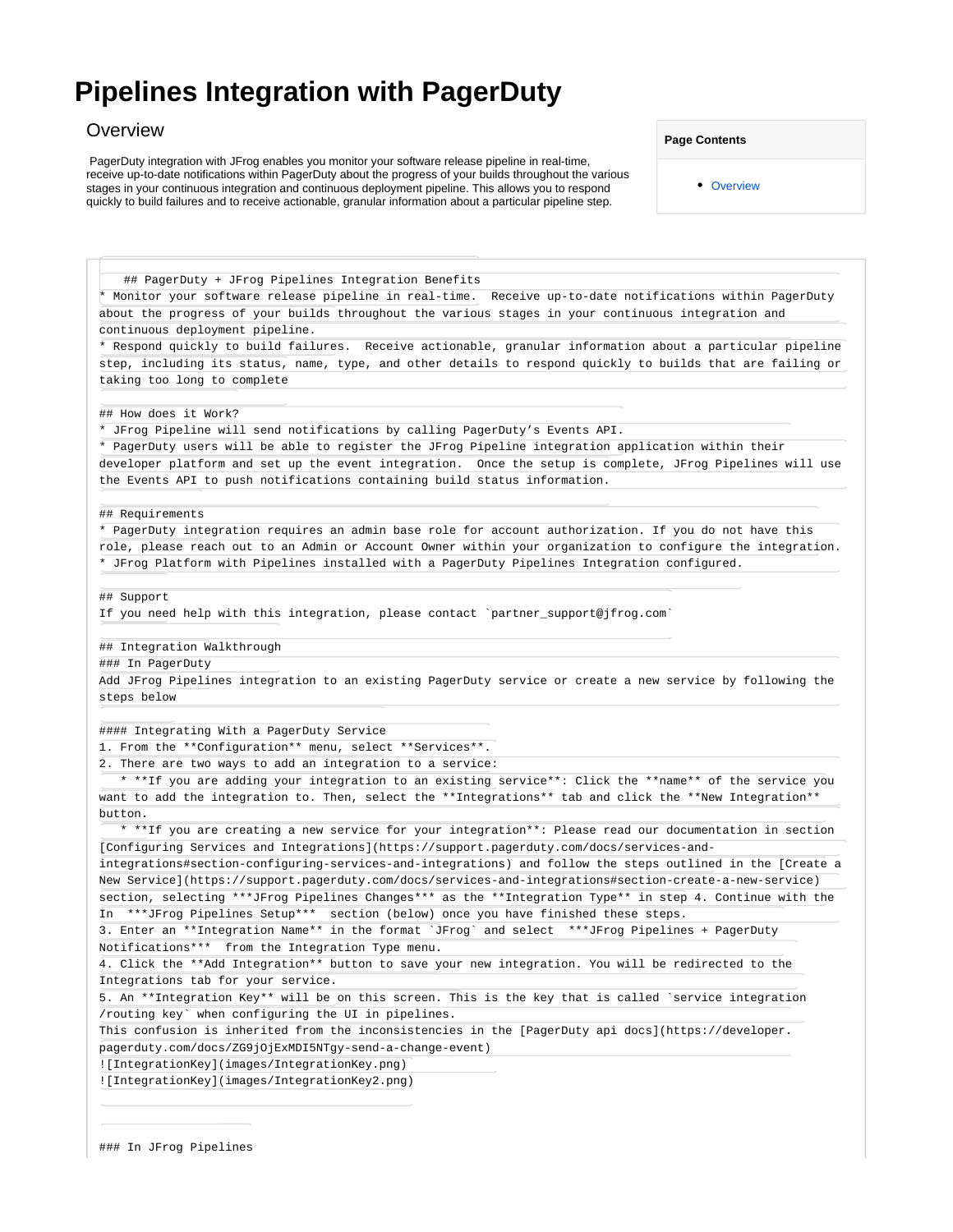## <span id="page-0-0"></span>**Pipelines Integration with PagerDuty**

## **Overview**

 PagerDuty integration with JFrog enables you monitor your software release pipeline in real-time, receive up-to-date notifications within PagerDuty about the progress of your builds throughout the various stages in your continuous integration and continuous deployment pipeline. This allows you to respond quickly to build failures and to receive actionable, granular information about a particular pipeline step.

**Page Contents**

• [Overview](#page-0-0)

## PagerDuty + JFrog Pipelines Integration Benefits \* Monitor your software release pipeline in real-time. Receive up-to-date notifications within PagerDuty about the progress of your builds throughout the various stages in your continuous integration and continuous deployment pipeline. \* Respond quickly to build failures. Receive actionable, granular information about a particular pipeline step, including its status, name, type, and other details to respond quickly to builds that are failing or taking too long to complete ## How does it Work? \* JFrog Pipeline will send notifications by calling PagerDuty's Events API. \* PagerDuty users will be able to register the JFrog Pipeline integration application within their developer platform and set up the event integration. Once the setup is complete, JFrog Pipelines will use the Events API to push notifications containing build status information. ## Requirements \* PagerDuty integration requires an admin base role for account authorization. If you do not have this role, please reach out to an Admin or Account Owner within your organization to configure the integration. \* JFrog Platform with Pipelines installed with a PagerDuty Pipelines Integration configured. ## Support If you need help with this integration, please contact `partner\_support@jfrog.com` ## Integration Walkthrough ### In PagerDuty Add JFrog Pipelines integration to an existing PagerDuty service or create a new service by following the steps below #### Integrating With a PagerDuty Service 1. From the \*\*Configuration\*\* menu, select \*\*Services\*\*. There are two ways to add an integration to a service: \* \*\*If you are adding your integration to an existing service\*\*: Click the \*\*name\*\* of the service you want to add the integration to. Then, select the \*\*Integrations\*\* tab and click the \*\*New Integration\*\* button. \* \*\*If you are creating a new service for your integration\*\*: Please read our documentation in section [Configuring Services and Integrations](https://support.pagerduty.com/docs/services-andintegrations#section-configuring-services-and-integrations) and follow the steps outlined in the [Create a New Service](https://support.pagerduty.com/docs/services-and-integrations#section-create-a-new-service) section, selecting \*\*\*JFrog Pipelines Changes\*\*\* as the \*\*Integration Type\*\* in step 4. Continue with the In \*\*\*JFrog Pipelines Setup\*\*\* section (below) once you have finished these steps. 3. Enter an \*\*Integration Name\*\* in the format `JFrog` and select \*\*\*JFrog Pipelines + PagerDuty Notifications\*\*\* from the Integration Type menu. 4. Click the \*\*Add Integration\*\* button to save your new integration. You will be redirected to the Integrations tab for your service. 5. An \*\*Integration Key\*\* will be on this screen. This is the key that is called `service integration /routing key` when configuring the UI in pipelines. This confusion is inherited from the inconsistencies in the [PagerDuty api docs](https://developer. pagerduty.com/docs/ZG9jOjExMDI5NTgy-send-a-change-event) ![IntegrationKey](images/IntegrationKey.png) ![IntegrationKey](images/IntegrationKey2.png)